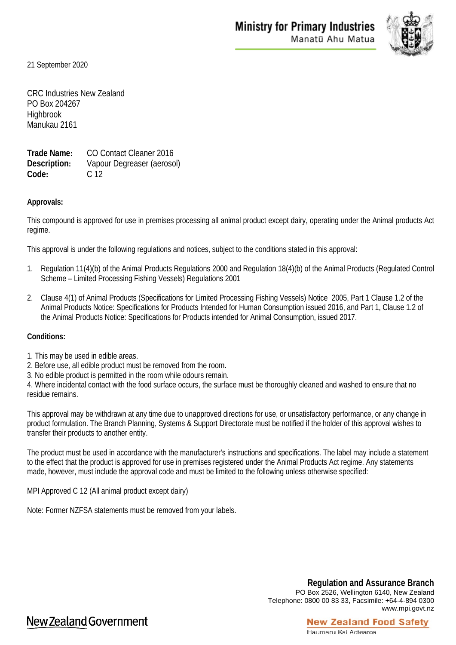

21 September 2020

CRC Industries New Zealand PO Box 204267 Highbrook Manukau 2161

**Trade Name:** CO Contact Cleaner 2016 **Description:** Vapour Degreaser (aerosol) **Code:** C 12

## **Approvals:**

This compound is approved for use in premises processing all animal product except dairy, operating under the Animal products Act regime.

This approval is under the following regulations and notices, subject to the conditions stated in this approval:

- 1. Regulation 11(4)(b) of the Animal Products Regulations 2000 and Regulation 18(4)(b) of the Animal Products (Regulated Control Scheme – Limited Processing Fishing Vessels) Regulations 2001
- 2. Clause 4(1) of Animal Products (Specifications for Limited Processing Fishing Vessels) Notice 2005, Part 1 Clause 1.2 of the Animal Products Notice: Specifications for Products Intended for Human Consumption issued 2016, and Part 1, Clause 1.2 of the Animal Products Notice: Specifications for Products intended for Animal Consumption, issued 2017.

## **Conditions:**

- 1. This may be used in edible areas.
- 2. Before use, all edible product must be removed from the room.
- 3. No edible product is permitted in the room while odours remain.

4. Where incidental contact with the food surface occurs, the surface must be thoroughly cleaned and washed to ensure that no residue remains.

This approval may be withdrawn at any time due to unapproved directions for use, or unsatisfactory performance, or any change in product formulation. The Branch Planning, Systems & Support Directorate must be notified if the holder of this approval wishes to transfer their products to another entity.

The product must be used in accordance with the manufacturer's instructions and specifications. The label may include a statement to the effect that the product is approved for use in premises registered under the Animal Products Act regime. Any statements made, however, must include the approval code and must be limited to the following unless otherwise specified:

MPI Approved C 12 (All animal product except dairy)

Note: Former NZFSA statements must be removed from your labels.

**Regulation and Assurance Branch** PO Box 2526, Wellington 6140, New Zealand Telephone: 0800 00 83 33, Facsimile: +64-4-894 0300 www.mpi.govt.nz

## New Zealand Government

## **New Zealand Food Safety** Haumaru Kai Aotearoa